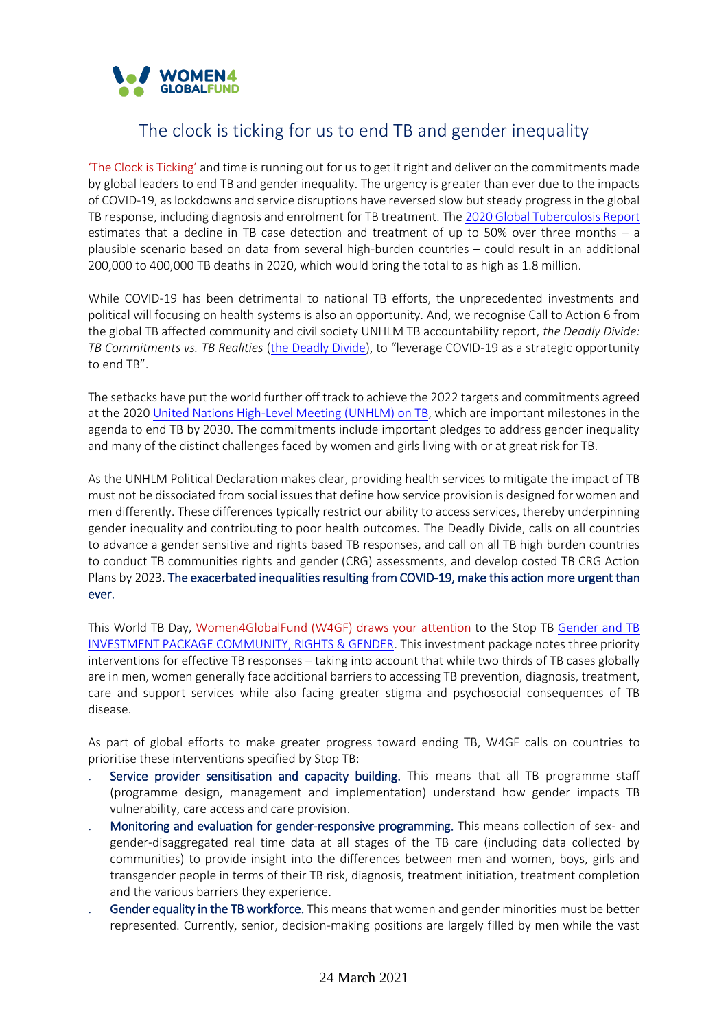

## The clock is ticking for us to end TB and gender inequality

'The Clock is Ticking' and time is running out for us to get it right and deliver on the commitments made by global leaders to end TB and gender inequality. The urgency is greater than ever due to the impacts of COVID-19, as lockdowns and service disruptions have reversed slow but steady progress in the global TB response, including diagnosis and enrolment for TB treatment. Th[e 2020 Global Tuberculosis Report](https://www.who.int/publications/i/item/9789240013131) estimates that a decline in TB case detection and treatment of up to 50% over three months – a plausible scenario based on data from several high-burden countries – could result in an additional 200,000 to 400,000 TB deaths in 2020, which would bring the total to as high as 1.8 million.

While COVID-19 has been detrimental to national TB efforts, the unprecedented investments and political will focusing on health systems is also an opportunity. And, we recognise Call to Action 6 from the global TB affected community and civil society UNHLM TB accountability report, *the Deadly Divide: TB Commitments vs. TB Realities* [\(the Deadly Divide](http://www.stoptb.org/assets/documents/communities/The%20Deadly%20Divide_TB%20Commitments%20vs%20TB%20Realities%20FINAL%20HLM%20Report.pdf)), to "leverage COVID-19 as a strategic opportunity to end TB".

The setbacks have put the world further off track to achieve the 2022 targets and commitments agreed at the 2020 [United Nations High-Level Meeting \(UNHLM\) on TB,](http://stoptb.org/assets/documents/global/advocacy/unhlm/UNHLM_Targets&Commitments.pdf) which are important milestones in the agenda to end TB by 2030. The commitments include important pledges to address gender inequality and many of the distinct challenges faced by women and girls living with or at great risk for TB.

As the UNHLM Political Declaration makes clear, providing health services to mitigate the impact of TB must not be dissociated from social issues that define how service provision is designed for women and men differently. These differences typically restrict our ability to access services, thereby underpinning gender inequality and contributing to poor health outcomes. The Deadly Divide, calls on all countries to advance a gender sensitive and rights based TB responses, and call on all TB high burden countries to conduct TB communities rights and gender (CRG) assessments, and develop costed TB CRG Action Plans by 2023. The exacerbated inequalities resulting from COVID-19, make this action more urgent than ever.

This World TB Day, Women4GlobalFund (W4GF) draws your attention to the Stop TB [Gender and TB](http://www.stoptb.org/assets/documents/communities/TB%20Gender%20Investment%20Package.pdf)  [INVESTMENT PACKAGE COMMUNITY, RIGHTS & GENDER.](http://www.stoptb.org/assets/documents/communities/TB%20Gender%20Investment%20Package.pdf) This investment package notes three priority interventions for effective TB responses – taking into account that while two thirds of TB cases globally are in men, women generally face additional barriers to accessing TB prevention, diagnosis, treatment, care and support services while also facing greater stigma and psychosocial consequences of TB disease.

As part of global efforts to make greater progress toward ending TB, W4GF calls on countries to prioritise these interventions specified by Stop TB:

- Service provider sensitisation and capacity building. This means that all TB programme staff (programme design, management and implementation) understand how gender impacts TB vulnerability, care access and care provision.
- Monitoring and evaluation for gender-responsive programming. This means collection of sex- and gender-disaggregated real time data at all stages of the TB care (including data collected by communities) to provide insight into the differences between men and women, boys, girls and transgender people in terms of their TB risk, diagnosis, treatment initiation, treatment completion and the various barriers they experience.
- Gender equality in the TB workforce. This means that women and gender minorities must be better represented. Currently, senior, decision-making positions are largely filled by men while the vast